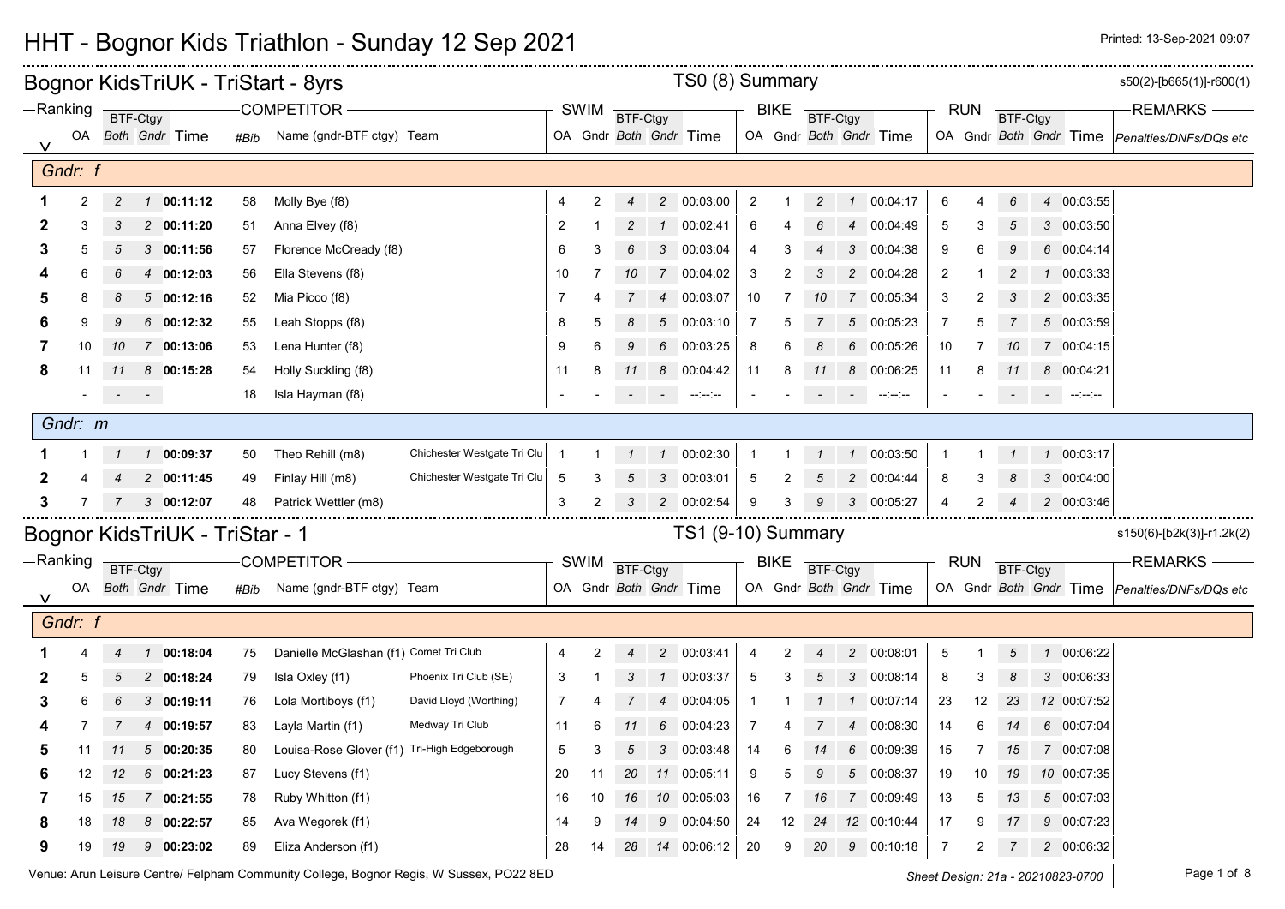|   |                |                         |                                |      | Bognor KidsTriUK - TriStart - 8yrs           |                             |                |             |                |                 | TS0 (8) Summary                                                                                                                                                                                                                                                                                                                                                                                                                                                                                   |                |             |                 |                |                                                                                                                                                                                                                                                                                                                                                                                                                                                                        |                |            |                |                |                                     | s50(2)-[b665(1)]-r600(1)                      |
|---|----------------|-------------------------|--------------------------------|------|----------------------------------------------|-----------------------------|----------------|-------------|----------------|-----------------|---------------------------------------------------------------------------------------------------------------------------------------------------------------------------------------------------------------------------------------------------------------------------------------------------------------------------------------------------------------------------------------------------------------------------------------------------------------------------------------------------|----------------|-------------|-----------------|----------------|------------------------------------------------------------------------------------------------------------------------------------------------------------------------------------------------------------------------------------------------------------------------------------------------------------------------------------------------------------------------------------------------------------------------------------------------------------------------|----------------|------------|----------------|----------------|-------------------------------------|-----------------------------------------------|
|   | -Ranking       | BTF-Ctgy                |                                |      | <b>COMPETITOR</b>                            |                             |                | SWIM        | BTF-Ctgy       |                 |                                                                                                                                                                                                                                                                                                                                                                                                                                                                                                   |                | <b>BIKE</b> | <b>BTF-Ctgy</b> |                |                                                                                                                                                                                                                                                                                                                                                                                                                                                                        |                | <b>RUN</b> | BTF-Ctgy       |                |                                     | <b>REMARKS</b>                                |
|   | OA             |                         | Both Gndr Time                 | #Bib | Name (gndr-BTF ctgy) Team                    |                             |                |             |                |                 | OA Gndr Both Gndr Time                                                                                                                                                                                                                                                                                                                                                                                                                                                                            |                |             |                 |                | OA Gndr Both Gndr Time                                                                                                                                                                                                                                                                                                                                                                                                                                                 |                |            |                |                |                                     | OA Gndr Both Gndr Time Penalties/DNFs/DQs etc |
|   |                |                         |                                |      |                                              |                             |                |             |                |                 |                                                                                                                                                                                                                                                                                                                                                                                                                                                                                                   |                |             |                 |                |                                                                                                                                                                                                                                                                                                                                                                                                                                                                        |                |            |                |                |                                     |                                               |
|   | Gndr: f        |                         |                                |      |                                              |                             |                |             |                |                 |                                                                                                                                                                                                                                                                                                                                                                                                                                                                                                   |                |             |                 |                |                                                                                                                                                                                                                                                                                                                                                                                                                                                                        |                |            |                |                |                                     |                                               |
|   | $\overline{2}$ | $\overline{c}$          | $1$ 00:11:12                   | 58   | Molly Bye (f8)                               |                             | $\overline{4}$ | 2           | $\overline{4}$ |                 | 2 00:03:00                                                                                                                                                                                                                                                                                                                                                                                                                                                                                        | $\overline{2}$ |             | $\overline{2}$  | $\mathbf{1}$   | 00:04:17                                                                                                                                                                                                                                                                                                                                                                                                                                                               | 6              |            | 6              | $\overline{4}$ | 00:03:55                            |                                               |
| 2 | 3              | 3                       | 2 00:11:20                     | 51   | Anna Elvey (f8)                              |                             | $\overline{2}$ |             | $\overline{2}$ |                 | 1 00:02:41                                                                                                                                                                                                                                                                                                                                                                                                                                                                                        | 6              |             | 6               | $\overline{4}$ | 00:04:49                                                                                                                                                                                                                                                                                                                                                                                                                                                               | 5              | 3          | 5              |                | 3 00:03:50                          |                                               |
| 3 |                | 5                       | 300:11:56                      | 57   | Florence McCready (f8)                       |                             | 6              | 3           | 6              | 3               | 00:03:04                                                                                                                                                                                                                                                                                                                                                                                                                                                                                          | 4              | 3           | $\overline{4}$  | 3              | 00:04:38                                                                                                                                                                                                                                                                                                                                                                                                                                                               | 9              | 6          | 9              |                | 6 00:04:14                          |                                               |
|   |                |                         | 4 00:12:03                     | 56   | Ella Stevens (f8)                            |                             | 10             |             | 10             | $\overline{7}$  | 00:04:02                                                                                                                                                                                                                                                                                                                                                                                                                                                                                          | 3              | 2           | 3               |                | 2 00:04:28                                                                                                                                                                                                                                                                                                                                                                                                                                                             | $\overline{2}$ |            |                | $\mathcal{I}$  | 00:03:33                            |                                               |
|   |                |                         | 500:12:16                      | 52   | Mia Picco (f8)                               |                             | 7              |             |                | $\overline{4}$  | 00:03:07                                                                                                                                                                                                                                                                                                                                                                                                                                                                                          | 10             | 7           | 10              |                | 7 00:05:34                                                                                                                                                                                                                                                                                                                                                                                                                                                             | 3              | 2          |                |                | 2 00:03:35                          |                                               |
|   |                |                         | 6 00:12:32                     | 55   | Leah Stopps (f8)                             |                             | 8              | 5           | 8              | 5 <sup>5</sup>  | 00:03:10                                                                                                                                                                                                                                                                                                                                                                                                                                                                                          | $\overline{7}$ | 5           | 7               | 5              | 00:05:23                                                                                                                                                                                                                                                                                                                                                                                                                                                               | $\overline{7}$ | 5          |                |                | 5 00:03:59                          |                                               |
| 7 | 10             | 10                      | 7 00:13:06                     | 53   | Lena Hunter (f8)                             |                             | 9              | 6           | 9              | $6\overline{6}$ | 00:03:25                                                                                                                                                                                                                                                                                                                                                                                                                                                                                          | 8              | 6           | 8               |                | 6 00:05:26                                                                                                                                                                                                                                                                                                                                                                                                                                                             | 10             |            | 10             |                | 7 00:04:15                          |                                               |
| 8 | 11             | 11                      | 8 00:15:28                     | 54   | Holly Suckling (f8)                          |                             | 11             | 8           |                |                 | 8 00:04:42                                                                                                                                                                                                                                                                                                                                                                                                                                                                                        | 11             | 8           | 11              |                | 8 00:06:25                                                                                                                                                                                                                                                                                                                                                                                                                                                             | 11             | 8          | 11             |                | 8 00:04:21                          |                                               |
|   |                | $\sigma_{\rm{max}}=0.5$ |                                | 18   | Isla Hayman (f8)                             |                             |                |             |                | $\sim$ $-$      | $\begin{tabular}{ll} \multicolumn{2}{c}{\multicolumn{2}{c}{\multicolumn{2}{c}{\multicolumn{2}{c}{\multicolumn{2}{c}{\multicolumn{2}{c}{\multicolumn{2}{c}{\multicolumn{2}{c}{\multicolumn{2}{c}{\multicolumn{2}{c}{\multicolumn{2}{c}{\multicolumn{2}{c}{\multicolumn{2}{c}{\textbf{1}}}}}}}}\quad \multicolumn{2}{c}{\quad \multicolumn{2}{c}{\qquad \qquad --\qquad \qquad --\qquad \qquad --\qquad \qquad --\qquad \qquad --\qquad \qquad --\qquad \qquad --\qquad \qquad --\qquad \qquad --\$ |                |             | $\sim$          | $\sim 100$     | $\begin{tabular}{ll} \multicolumn{2}{c}{\multicolumn{2}{c}{\multicolumn{2}{c}{\multicolumn{2}{c}{\multicolumn{2}{c}{\multicolumn{2}{c}{\multicolumn{2}{c}{\multicolumn{2}{c}{\multicolumn{2}{c}{\multicolumn{2}{c}{\multicolumn{2}{c}{\multicolumn{2}{c}{\multicolumn{2}{c}{\textbf{1}}}}}}}}}} \quad \multicolumn{2}{c}{ \multicolumn{2}{c}{\hspace{-2.2cm}} \multicolumn{2}{c}{\hspace{-2.2cm}} \multicolumn{2}{c}{\hspace{-2.2cm}}\hspace{-2.2cm}}}} \end{tabular}$ |                |            | $\sim$         |                | $\sim 10^{-10}$ and $\sim 10^{-10}$ |                                               |
|   | Gndr: m        |                         |                                |      |                                              |                             |                |             |                |                 |                                                                                                                                                                                                                                                                                                                                                                                                                                                                                                   |                |             |                 |                |                                                                                                                                                                                                                                                                                                                                                                                                                                                                        |                |            |                |                |                                     |                                               |
|   |                |                         | 1 00:09:37                     | 50   | Theo Rehill (m8)                             | Chichester Westgate Tri Clu |                |             | $\mathcal{I}$  |                 | 1 00:02:30                                                                                                                                                                                                                                                                                                                                                                                                                                                                                        | $\overline{1}$ |             | $\mathcal I$    |                | 1 00:03:50                                                                                                                                                                                                                                                                                                                                                                                                                                                             | 1              |            |                |                | 1 00:03:17                          |                                               |
| 2 |                |                         | 2 00:11:45                     | 49   | Finlay Hill (m8)                             | Chichester Westgate Tri Clu | 5              | 3           | 5              | 3               | 00:03:01                                                                                                                                                                                                                                                                                                                                                                                                                                                                                          | -5             | 2           | 5               | $\overline{2}$ | 00:04:44                                                                                                                                                                                                                                                                                                                                                                                                                                                               | 8              | 3          |                |                | 3 00:04:00                          |                                               |
| 3 |                |                         | 300:12:07                      | 48   | Patrick Wettler (m8)                         |                             | 3              | 2           | 3              |                 | 2 00:02:54                                                                                                                                                                                                                                                                                                                                                                                                                                                                                        | 9              | 3           | 9               |                | 3 00:05:27                                                                                                                                                                                                                                                                                                                                                                                                                                                             | 4              | 2          |                |                | 2 00:03:46                          |                                               |
|   |                |                         |                                |      |                                              |                             |                |             |                |                 |                                                                                                                                                                                                                                                                                                                                                                                                                                                                                                   |                |             |                 |                |                                                                                                                                                                                                                                                                                                                                                                                                                                                                        |                |            |                |                |                                     |                                               |
|   |                |                         | Bognor KidsTriUK - TriStar - 1 |      |                                              |                             |                |             |                |                 | TS1 (9-10) Summary                                                                                                                                                                                                                                                                                                                                                                                                                                                                                |                |             |                 |                |                                                                                                                                                                                                                                                                                                                                                                                                                                                                        |                |            |                |                |                                     | s150(6)-[b2k(3)]-r1.2k(2)                     |
|   | -Ranking       | BTF-Ctgy                |                                |      | <b>COMPETITOR</b>                            |                             |                | <b>SWIM</b> | BTF-Ctgy       |                 |                                                                                                                                                                                                                                                                                                                                                                                                                                                                                                   |                | <b>BIKE</b> | BTF-Ctgy        |                |                                                                                                                                                                                                                                                                                                                                                                                                                                                                        |                | <b>RUN</b> | BTF-Ctgy       |                |                                     | <b>REMARKS</b>                                |
|   | OA             |                         | Both Gndr Time                 | #Bib | Name (gndr-BTF ctgy) Team                    |                             |                |             |                |                 | OA Gndr Both Gndr Time                                                                                                                                                                                                                                                                                                                                                                                                                                                                            |                |             |                 |                | OA Gndr Both Gndr Time                                                                                                                                                                                                                                                                                                                                                                                                                                                 |                |            |                |                |                                     | OA Gndr Both Gndr Time Penalties/DNFs/DQs etc |
|   | Gndr: f        |                         |                                |      |                                              |                             |                |             |                |                 |                                                                                                                                                                                                                                                                                                                                                                                                                                                                                                   |                |             |                 |                |                                                                                                                                                                                                                                                                                                                                                                                                                                                                        |                |            |                |                |                                     |                                               |
|   |                |                         | $1$ 00:18:04                   | 75   | Danielle McGlashan (f1) Comet Tri Club       |                             | 4              | 2           |                |                 | 2 00:03:41                                                                                                                                                                                                                                                                                                                                                                                                                                                                                        | 4              | 2           | $\overline{4}$  |                | 2 00:08:01                                                                                                                                                                                                                                                                                                                                                                                                                                                             | 5              |            | 5              |                | 1 00:06:22                          |                                               |
| 2 | 5              | 5                       | 2 00:18:24                     | 79   | Isla Oxley (f1)                              | Phoenix Tri Club (SE)       | 3              |             | 3              | $\mathcal{I}$   | 00:03:37                                                                                                                                                                                                                                                                                                                                                                                                                                                                                          | 5              | 3           | 5               | 3              | 00:08:14                                                                                                                                                                                                                                                                                                                                                                                                                                                               | 8              | 3          | 8              |                | 3 00:06:33                          |                                               |
| 3 | 6              | 6                       | 300:19:11                      | 76   | Lola Mortiboys (f1)                          | David Lloyd (Worthing)      | 7              |             | $\overline{7}$ | $\overline{4}$  | 00:04:05                                                                                                                                                                                                                                                                                                                                                                                                                                                                                          | $\mathbf{1}$   |             |                 |                | 00:07:14                                                                                                                                                                                                                                                                                                                                                                                                                                                               | 23             | 12         | 23             |                | 12 00:07:52                         |                                               |
|   |                |                         | 4 00:19:57                     | 83   | Layla Martin (f1)                            | Medway Tri Club             | 11             | 6           | 11             | 6               | 00:04:23                                                                                                                                                                                                                                                                                                                                                                                                                                                                                          | $\overline{7}$ |             |                 | $\overline{4}$ | 00:08:30                                                                                                                                                                                                                                                                                                                                                                                                                                                               | 14             | 6          | 14             |                | 6 00:07:04                          |                                               |
| 5 | 11             | 11                      | 500:20:35                      | 80   | Louisa-Rose Glover (f1) Tri-High Edgeborough |                             | 5              | 3           | 5              | 3               | 00:03:48                                                                                                                                                                                                                                                                                                                                                                                                                                                                                          | 14             | 6           | 14              | 6              | 00:09:39                                                                                                                                                                                                                                                                                                                                                                                                                                                               | 15             | 7          | 15             |                | 7 00:07:08                          |                                               |
|   | 12             | 12                      | 60:21:23                       | 87   | Lucy Stevens (f1)                            |                             | 20             | 11          | 20             |                 | 11 00:05:11                                                                                                                                                                                                                                                                                                                                                                                                                                                                                       | 9              | 5           | 9               |                | 5 00:08:37                                                                                                                                                                                                                                                                                                                                                                                                                                                             | 19             | 10         | 19             |                | 10 00:07:35                         |                                               |
| 7 | 15             | 15                      | 7 00:21:55                     | 78   | Ruby Whitton (f1)                            |                             | 16             | 10          | 16             |                 | 10 00:05:03                                                                                                                                                                                                                                                                                                                                                                                                                                                                                       | 16             | 7           | 16              |                | 7 00:09:49                                                                                                                                                                                                                                                                                                                                                                                                                                                             | 13             | 5          | 13             |                | 5 00:07:03                          |                                               |
| 8 | 18             | 18                      | 8 00:22:57                     | 85   | Ava Wegorek (f1)                             |                             | 14             | 9           | 14             | 9               | 00:04:50                                                                                                                                                                                                                                                                                                                                                                                                                                                                                          | 24             | 12          | 24              |                | 12 00:10:44                                                                                                                                                                                                                                                                                                                                                                                                                                                            | 17             | 9          | 17             |                | 9 00:07:23                          |                                               |
| 9 | 19             | 19                      | 900:23:02                      | 89   | Eliza Anderson (f1)                          |                             | 28             | 14          | 28             |                 | 14 00:06:12                                                                                                                                                                                                                                                                                                                                                                                                                                                                                       | 20             | 9           | 20              | 9              | 00:10:18                                                                                                                                                                                                                                                                                                                                                                                                                                                               | $\overline{7}$ | 2          | $\overline{7}$ |                | 2 00:06:32                          |                                               |
|   |                |                         |                                |      |                                              |                             |                |             |                |                 |                                                                                                                                                                                                                                                                                                                                                                                                                                                                                                   |                |             |                 |                |                                                                                                                                                                                                                                                                                                                                                                                                                                                                        |                |            |                |                |                                     |                                               |

HHT - Bognor Kids Triathlon - Sunday 12 Sep 2021 **Printed: 12 Sep 2021 Printed: 13-Sep-2021 09:07** 

 $\frac{1}{2}$ 

Venue: Arun Leisure Centre/ Felpham Community College, Bognor Regis, W Sussex, PO22 8ED **Sheet Design: 21a - 20210823-0700** Page 1 of 8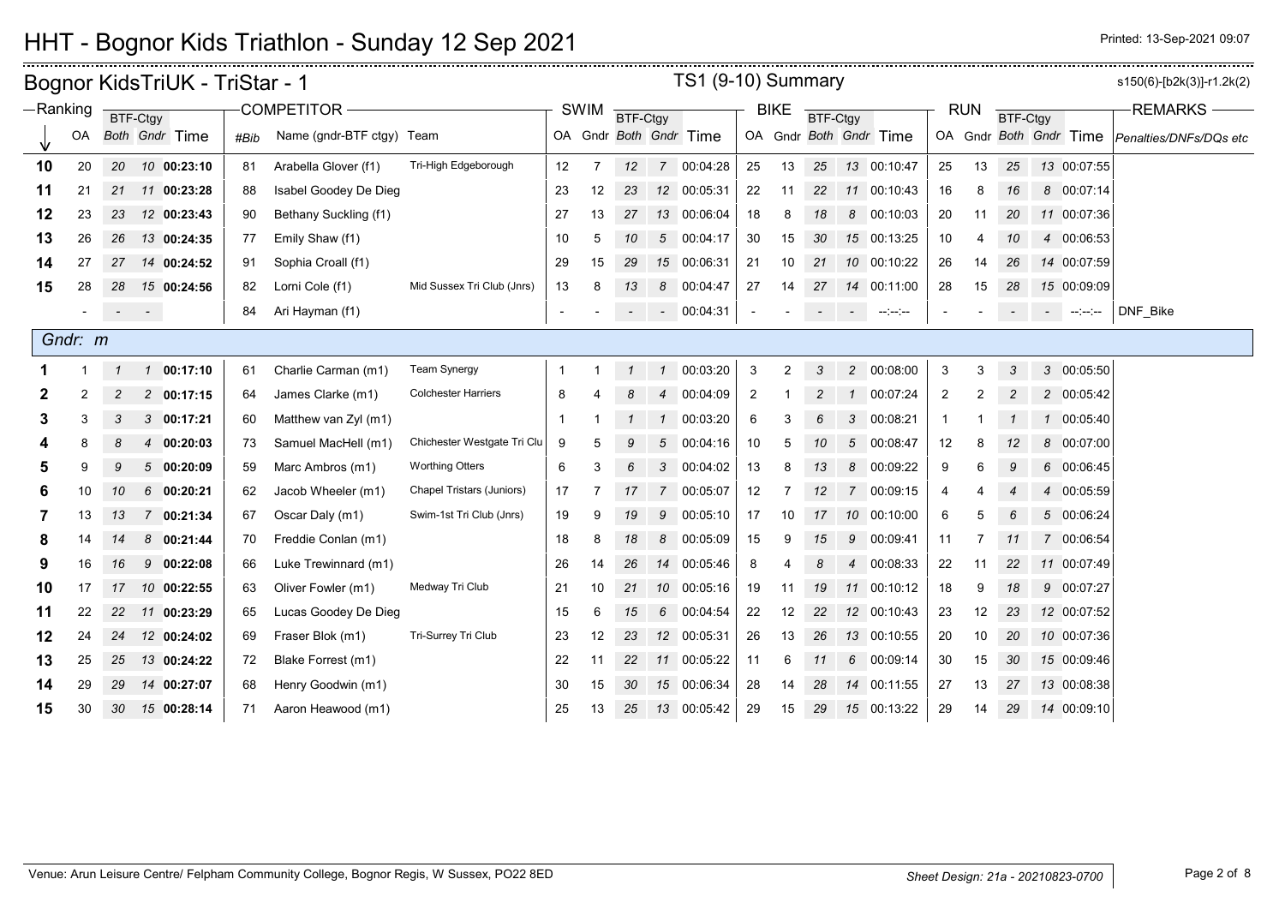# HHT - Bognor Kids Triathlon - Sunday 12 Sep 2021 **Printed: 12 Sep 2021 Degree 2021 09:07**

|            |         |                 | Bognor KidsTriUK - TriStar - 1 |      |                           |                                  |              |             |               |                | TS1 (9-10) Summary     |                |                |                |                          |                        |                |            |                 |                        |                                   | s150(6)-[b2k(3)]-r1.2k(2) |
|------------|---------|-----------------|--------------------------------|------|---------------------------|----------------------------------|--------------|-------------|---------------|----------------|------------------------|----------------|----------------|----------------|--------------------------|------------------------|----------------|------------|-----------------|------------------------|-----------------------------------|---------------------------|
| $-Ranking$ |         |                 | BTF-Ctgy                       |      | COMPETITOR -              |                                  |              | <b>SWIM</b> | BTF-Ctgy      |                |                        |                | <b>BIKE</b>    | BTF-Ctgy       |                          |                        |                | <b>RUN</b> | <b>BTF-Ctgy</b> |                        |                                   | <b>REMARKS</b>            |
|            | OA      |                 | Both Gndr Time                 | #Bib | Name (gndr-BTF ctgy) Team |                                  |              |             |               |                | OA Gndr Both Gndr Time |                |                |                |                          | OA Gndr Both Gndr Time |                |            |                 | OA Gndr Both Gndr Time |                                   | Penalties/DNFs/DQs etc    |
| 10         | 20      | 20              | 10 00:23:10                    | 81   | Arabella Glover (f1)      | Tri-High Edgeborough             | 12           | 7           | 12            |                | 7 00:04:28             | 25             | 13             | 25             |                          | 13 00:10:47            | 25             | 13         | 25              |                        | 13 00:07:55                       |                           |
| 11         | 21      |                 | 21 11 00:23:28                 | 88   | Isabel Goodey De Dieg     |                                  | 23           | 12          | 23            |                | 12 00:05:31            | 22             | 11             | 22             |                          | 11 00:10:43            | 16             | 8          | 16              |                        | 8 00:07:14                        |                           |
| 12         | 23      | 23              | 12 00:23:43                    | 90   | Bethany Suckling (f1)     |                                  | 27           | 13          | 27            |                | 13 00:06:04            | 18             | 8              | 18             | 8                        | 00:10:03               | 20             | 11         | 20              |                        | 11 00:07:36                       |                           |
| 13         | 26      | 26              | 13 00:24:35                    | 77   | Emily Shaw (f1)           |                                  | 10           | 5           | 10            |                | 5 00:04:17             | 30             | 15             | 30             |                          | 15 00:13:25            | 10             | 4          | 10              |                        | 4 00:06:53                        |                           |
| 14         | 27      | 27              | 14 00:24:52                    | 91   | Sophia Croall (f1)        |                                  | 29           | 15          | 29            |                | 15 00:06:31            | 21             | 10             | 21             |                          | 10 00:10:22            | 26             | 14         | 26              |                        | 14 00:07:59                       |                           |
| 15         | 28      | 28              | 15 00:24:56                    | 82   | Lorni Cole (f1)           | Mid Sussex Tri Club (Jnrs)       | 13           | 8           | 13            |                | 8 00:04:47             | 27             | 14             | 27             |                          | 14 00:11:00            | 28             | 15         | 28              |                        | 15 00:09:09                       |                           |
|            |         |                 | $\sigma_{\rm{eff}}=0.01$       | 84   | Ari Hayman (f1)           |                                  |              |             |               |                | $- 00:04:31$           |                |                |                | $\overline{\phantom{a}}$ | $\cdots \cdots \cdots$ |                |            |                 |                        | $\sim 10^{11}$ and $\sim 10^{11}$ | DNF Bike                  |
|            | Gndr: m |                 |                                |      |                           |                                  |              |             |               |                |                        |                |                |                |                          |                        |                |            |                 |                        |                                   |                           |
|            |         | $\mathcal I$    | 1 00:17:10                     | 61   | Charlie Carman (m1)       | <b>Team Synergy</b>              | -1           |             | $\mathcal{I}$ | $\mathcal{I}$  | 00:03:20               | 3              | $\overline{2}$ | 3              | $\overline{2}$           | 00:08:00               | 3              | 3          | 3               |                        | 3 00:05:50                        |                           |
|            |         | $\overline{c}$  | 2 00:17:15                     | 64   | James Clarke (m1)         | <b>Colchester Harriers</b>       | 8            |             |               | $\overline{4}$ | 00:04:09               | $\overline{2}$ |                | $\overline{c}$ | $\overline{1}$           | 00:07:24               | $\overline{2}$ | 2          | $\overline{c}$  |                        | 2 00:05:42                        |                           |
| 3          | 3       | 3               | 3 00:17:21                     | 60   | Matthew van Zyl (m1)      |                                  | $\mathbf{1}$ |             | $\mathcal{I}$ | $\mathcal{I}$  | 00:03:20               | 6              | 3              | 6              | 3                        | 00:08:21               |                |            |                 |                        | 1 00:05:40                        |                           |
|            | 8       | 8               | 00:20:03<br>$\overline{4}$     | 73   | Samuel MacHell (m1)       | Chichester Westgate Tri Clu      | 9            | 5           | 9             | 5              | 00:04:16               | 10             | 5              | 10             | $5^{\circ}$              | 00:08:47               | 12             | 8          | 12              |                        | 8 00:07:00                        |                           |
| 5          | 9       | 9               | 500:20:09                      | 59   | Marc Ambros (m1)          | <b>Worthing Otters</b>           | 6            | 3           | 6             | 3 <sup>1</sup> | 00:04:02               | 13             | 8              | 13             | 8                        | 00:09:22               | 9              | 6          | 9               |                        | 6 00:06:45                        |                           |
| 6          | 10      | 10              | 600:20:21                      | 62   | Jacob Wheeler (m1)        | <b>Chapel Tristars (Juniors)</b> | 17           |             | 17            | $7^{\circ}$    | 00:05:07               | 12             |                | 12             | $\overline{7}$           | 00:09:15               | 4              |            |                 |                        | 4 00:05:59                        |                           |
|            | 13      | 13              | 7 00:21:34                     | 67   | Oscar Daly (m1)           | Swim-1st Tri Club (Jnrs)         | 19           | 9           | 19            | 9              | 00:05:10               | 17             | 10             | 17             |                          | 10 00:10:00            | 6              | 5          |                 |                        | 5 00:06:24                        |                           |
| 8          | 14      | 14              | 8 00:21:44                     | 70   | Freddie Conlan (m1)       |                                  | 18           | 8           | 18            | 8              | 00:05:09               | 15             | 9              | 15             | 9                        | 00:09:41               | 11             | 7          | 11              |                        | 7 00:06:54                        |                           |
| 9          | 16      | 16              | 90:22:08                       | 66   | Luke Trewinnard (m1)      |                                  | 26           | 14          | 26            |                | 14 00:05:46            | 8              |                | 8              | $\overline{4}$           | 00:08:33               | 22             | 11         | 22              |                        | 11 00:07:49                       |                           |
| 10         | 17      | 17 <sup>2</sup> | 10 00:22:55                    | 63   | Oliver Fowler (m1)        | Medway Tri Club                  | 21           | 10          | 21            |                | 10 00:05:16            | 19             | 11             | 19             |                          | 11 00:10:12            | 18             | 9          | 18              |                        | 9 00:07:27                        |                           |
| 11         | 22      | 22              | 11 00:23:29                    | 65   | Lucas Goodey De Dieg      |                                  | 15           | 6           | 15            |                | 6 00:04:54             | 22             | 12             | 22             |                          | 12 00:10:43            | 23             | 12         | 23              |                        | 12 00:07:52                       |                           |
| 12         | 24      |                 | 24 12 00:24:02                 | 69   | Fraser Blok (m1)          | Tri-Surrey Tri Club              | 23           | 12          | 23            |                | 12 00:05:31            | 26             | 13             | 26             |                          | 13 00:10:55            | 20             | 10         | 20              |                        | 10 00:07:36                       |                           |
| 13         | 25      | 25              | 13 00:24:22                    | 72   | Blake Forrest (m1)        |                                  | 22           | 11          | 22            |                | 11 00:05:22            | 11             | 6              | 11             | 6                        | 00:09:14               | 30             | 15         | 30              |                        | 15 00:09:46                       |                           |
| 14         | 29      | 29              | 14 00:27:07                    | 68   | Henry Goodwin (m1)        |                                  | 30           | 15          | 30            |                | 15 00:06:34            | 28             | 14             | 28             | 14                       | 00:11:55               | 27             | 13         | 27              |                        | 13 00:08:38                       |                           |
| 15         | 30      |                 | 30    15    00:28:14           | 71   | Aaron Heawood (m1)        |                                  | 25           | 13          | 25            |                | 13 00:05:42            | 29             | 15             | 29             |                          | 15 00:13:22            | 29             | 14         | 29              |                        | 14 00:09:10                       |                           |

Venue: Arun Leisure Centre/ Felpham Community College, Bognor Regis, W Sussex, PO22 8ED **Sheet Design: 21a - 20210823-0700** Page 2 of 8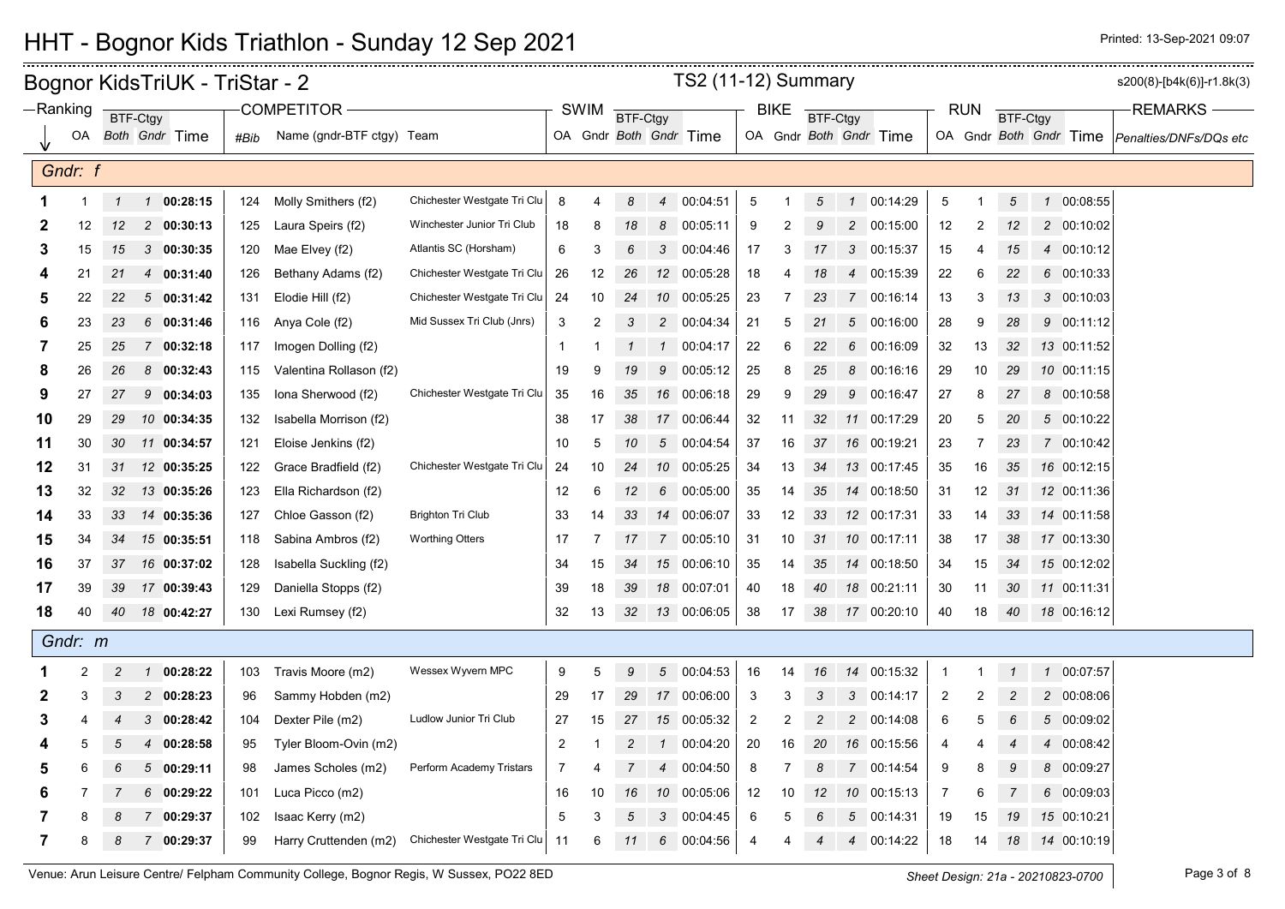#### Bognor KidsTriUK - TriStar - 2 sample and the set of the set of the set of the set of the set of the set of the set of the set of the set of the set of the set of the set of the set of the set of the set of the set of the OA Gndr **Both** Gndr **Time** OA SWIM **BTF-Ctgy BIKE** BTF-Ctgy RUN **BTF-Ctay** OA Gndr Both Gndr Time **BTF-Ctgy** OA *Both Gndr* Time | #Bib Name (gndr-BTF ctgy) Team | OA Gndr *Both Gndr* Time | OA Gndr *Soth Gndr Both Gndr Both Gndr T*ime |*Penalties/DNFs/DQs etc* BTF-Ctgy Ranking **DELICTAN COMPETITOR** COMPETITOR ALL REMARKS **REGIST OF SWIM RELATION BIKE REGIST COMPETITOR REMARKS** TS2 (11-12) Summary *Gndr: f* 1 *1 1* **00:28:15** 124 Molly Smithers (f2) Chichester Westgate Tri Clu 8 4 *8 4* 00:04:51 5 1 *5 1* 00:14:29 5 1 *5 1* 00:08:55 12 *12 2* **00:30:13** 125 Laura Speirs (f2) Winchester Junior Tri Club 18 8 *18 8* 00:05:11 9 2 *9 2* 00:15:00 12 2 *12 2* 00:10:02 15 *15 3* **00:30:35** 120 Mae Elvey (f2) Atlantis SC (Horsham) 6 3 *6 3* 00:04:46 17 3 *17 3* 00:15:37 15 4 *15 4* 00:10:12 21 *21 4* **00:31:40** 126 Bethany Adams (f2) Chichester Westgate Tri Clu 26 12 *26 12* 00:05:28 18 4 *18 4* 00:15:39 22 6 *22 6* 00:10:33 22 *22 5* **00:31:42** 131 Elodie Hill (f2) Chichester Westgate Tri Clu 24 10 *24 10* 00:05:25 23 7 *23 7* 00:16:14 13 3 *13 3* 00:10:03 23 *23 6* **00:31:46** 116 Anya Cole (f2) Mid Sussex Tri Club (Jnrs) 3 2 *3 2* 00:04:34 21 5 *21 5* 00:16:00 28 9 *28 9* 00:11:12 25 *25 7* **00:32:18** 117 Imogen Dolling (f2) 1 1 *1 1* 00:04:17 22 6 *22 6* 00:16:09 32 13 *32 13* 00:11:52 26 *26 8* **00:32:43** 115 Valentina Rollason (f2) 19 9 *19 9* 00:05:12 25 8 *25 8* 00:16:16 29 10 *29 10* 00:11:15 27 *27 9* **00:34:03** 135 Iona Sherwood (f2) Chichester Westgate Tri Clu 35 16 *35 16* 00:06:18 29 9 *29 9* 00:16:47 27 8 *27 8* 00:10:58 29 *29 10* **00:34:35** 132 Isabella Morrison (f2) 38 17 *38 17* 00:06:44 32 11 *32 11* 00:17:29 20 5 *20 5* 00:10:22 30 *30 11* **00:34:57** 121 Eloise Jenkins (f2) 10 5 *10 5* 00:04:54 37 16 *37 16* 00:19:21 23 7 *23 7* 00:10:42 31 *31 12* **00:35:25** 122 Grace Bradfield (f2) Chichester Westgate Tri Clu 24 10 *24 10* 00:05:25 34 13 *34 13* 00:17:45 35 16 *35 16* 00:12:15 32 *32 13* **00:35:26** 123 Ella Richardson (f2) 12 6 *12 6* 00:05:00 35 14 *35 14* 00:18:50 31 12 *31 12* 00:11:36 33 *33 14* **00:35:36** 127 Chloe Gasson (f2) Brighton Tri Club 33 14 *33 14* 00:06:07 33 12 *33 12* 00:17:31 33 14 *33 14* 00:11:58 34 *34 15* **00:35:51** 118 Sabina Ambros (f2) Worthing Otters 17 7 *17 7* 00:05:10 31 10 *31 10* 00:17:11 38 17 *38 17* 00:13:30 37 *37 16* **00:37:02** 128 Isabella Suckling (f2) 34 15 *34 15* 00:06:10 35 14 *35 14* 00:18:50 34 15 *34 15* 00:12:02 39 *39 17* **00:39:43** 129 Daniella Stopps (f2) 39 18 *39 18* 00:07:01 40 18 *40 18* 00:21:11 30 11 *30 11* 00:11:31 40 *40 18* **00:42:27** 130 Lexi Rumsey (f2) 32 13 *32 13* 00:06:05 38 17 *38 17* 00:20:10 40 18 *40 18* 00:16:12 *Gndr: m* 2 *2 1* **00:28:22** 103 Travis Moore (m2) Wessex Wyvern MPC 9 5 *9 5* 00:04:53 16 14 *16 14* 00:15:32 1 1 *1 1* 00:07:57 3 *3 2* **00:28:23** 96 Sammy Hobden (m2) 29 17 *29 17* 00:06:00 3 3 *3 3* 00:14:17 2 2 *2 2* 00:08:06 4 *4 3* **00:28:42** 104 Dexter Pile (m2) Ludlow Junior Tri Club 27 15 *27 15* 00:05:32 2 2 *2 2* 00:14:08 6 5 *6 5* 00:09:02 5 *5 4* **00:28:58** 95 Tyler Bloom-Ovin (m2) 2 1 *2 1* 00:04:20 20 16 *20 16* 00:15:56 4 4 *4 4* 00:08:42 6 *6 5* **00:29:11** 98 James Scholes (m2) Perform Academy Tristars 7 4 *7 4* 00:04:50 8 7 *8 7* 00:14:54 9 8 *9 8* 00:09:27 7 *7 6* **00:29:22** 101 Luca Picco (m2) 16 10 *16 10* 00:05:06 12 10 *12 10* 00:15:13 7 6 *7 6* 00:09:03 8 *8 7* **00:29:37** 102 Isaac Kerry (m2) 5 3 *5 3* 00:04:45 6 5 *6 5* 00:14:31 19 15 *19 15* 00:10:21 8 *8 7* **00:29:37** 99 Harry Cruttenden (m2) Chichester Westgate Tri Clu 11 6 *11 6* 00:04:56 4 4 *4 4* 00:14:22 18 14 *18 14* 00:10:19

## HHT - Bognor Kids Triathlon - Sunday 12 Sep 2021 Printed: 13 Sep-2021 Design Printed: 13-Sep-2021 09:07

Venue: Arun Leisure Centre/ Felpham Community College, Bognor Regis, W Sussex, PO22 8ED *Sheet Design: 21a - 20210823-0700* Page 3 of 8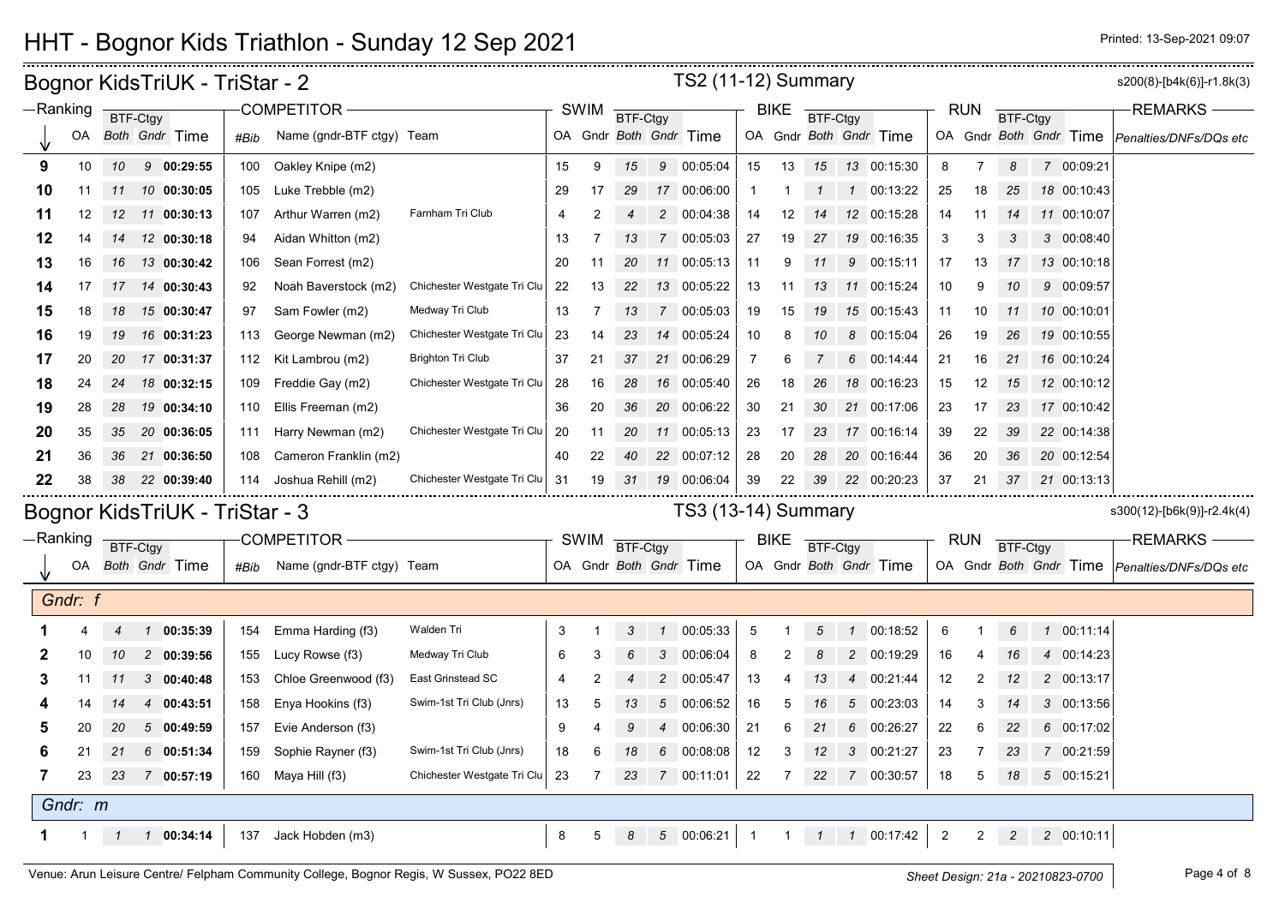## HHT - Bognor Kids Triathlon - Sunday 12 Sep 2021 **Printed: 12 Sep 2021 Printed: 13-Sep-2021 09:07**

| <b>TS2 (11-12) Summary</b><br>Bognor KidsTriUK - TriStar - 2<br>-Ranking<br><b>COMPETITOR</b><br><b>SWIM</b><br><b>RUN</b><br><b>BIKE</b><br>BTF-Ctgy<br>BTF-Ctgy<br><b>BTF-Ctgy</b><br><b>BTF-Ctgy</b> |             |              |          |                                |      |                           |                             |    |                |                           |                 |                        |                | s200(8)-[b4k(6)]-r1.8k(3) |                 |                 |                        |                 |                |                 |                        |                            |
|---------------------------------------------------------------------------------------------------------------------------------------------------------------------------------------------------------|-------------|--------------|----------|--------------------------------|------|---------------------------|-----------------------------|----|----------------|---------------------------|-----------------|------------------------|----------------|---------------------------|-----------------|-----------------|------------------------|-----------------|----------------|-----------------|------------------------|----------------------------|
|                                                                                                                                                                                                         |             |              |          |                                |      |                           |                             |    |                |                           |                 |                        |                |                           |                 |                 |                        |                 |                |                 |                        | <b>REMARKS</b>             |
|                                                                                                                                                                                                         | OA          |              |          | Both Gndr Time                 | #Bib | Name (gndr-BTF ctgy) Team |                             |    |                |                           |                 | OA Gndr Both Gndr Time |                |                           |                 |                 | OA Gndr Both Gndr Time |                 |                |                 | OA Gndr Both Gndr Time | Penalties/DNFs/DQs etc     |
| 9                                                                                                                                                                                                       | 10          | 10           |          | 90:29:55                       | 100  | Oakley Knipe (m2)         |                             | 15 | 9              | 15                        |                 | 9 00:05:04             | 15             | 13                        | 15              |                 | 13 00:15:30            | 8               | 7              | 8               | 7 00:09:21             |                            |
| 10                                                                                                                                                                                                      | 11          | 11           |          | 10 00:30:05                    | 105  | Luke Trebble (m2)         |                             | 29 | 17             | 29                        |                 | 17 00:06:00            | $\mathbf{1}$   |                           | $\mathcal I$    | $\mathcal{I}$   | 00:13:22               | 25              | 18             | 25              | 18 00:10:43            |                            |
| 11                                                                                                                                                                                                      | 12          |              |          | 12 11 00:30:13                 | 107  | Arthur Warren (m2)        | Farnham Tri Club            | 4  | 2              |                           |                 | 2 00:04:38             | 14             | 12                        | 14              |                 | 12 00:15:28            | 14              | 11             | 14              | 11 00:10:07            |                            |
| 12                                                                                                                                                                                                      | 14          | 14           |          | 12 00:30:18                    | 94   | Aidan Whitton (m2)        |                             | 13 |                | 13                        | $\overline{7}$  | 00:05:03               | 27             | 19                        | 27              |                 | 19 00:16:35            | 3               | 3              | 3               | 3 00:08:40             |                            |
| 13                                                                                                                                                                                                      | 16          | 16           |          | 13 00:30:42                    | 106  | Sean Forrest (m2)         |                             | 20 | 11             | 20                        |                 | 11 00:05:13            | 11             | 9                         | 11              |                 | 9 00:15:11             | 17              | 13             | 17              | 13 00:10:18            |                            |
| 14                                                                                                                                                                                                      | 17          | 17           |          | 14 00:30:43                    | 92   | Noah Baverstock (m2)      | Chichester Westgate Tri Clu | 22 | 13             | 22                        |                 | 13 00:05:22            | 13             | 11                        | 13              |                 | 11 00:15:24            | 10              | 9              | 10              | 9 00:09:57             |                            |
| 15                                                                                                                                                                                                      | 18          | 18           |          | 15 00:30:47                    | 97   | Sam Fowler (m2)           | Medway Tri Club             | 13 | 7              | 13                        |                 | 7 00:05:03             | 19             | 15                        | 19              |                 | 15 00:15:43            | 11              | 10             | 11              | 10 00:10:01            |                            |
| 16                                                                                                                                                                                                      | 19          | 19           |          | 16 00:31:23                    | 113  | George Newman (m2)        | Chichester Westgate Tri Clu | 23 | 14             | 23                        |                 | 14 00:05:24            | 10             | 8                         | 10              |                 | 8 00:15:04             | 26              | 19             | 26              | 19 00:10:55            |                            |
| 17                                                                                                                                                                                                      | 20          | 20           |          | 17 00:31:37                    | 112  | Kit Lambrou (m2)          | <b>Brighton Tri Club</b>    | 37 | 21             | 37                        |                 | 21 00:06:29            | $\overline{7}$ | 6                         | 7               |                 | 6 00:14:44             | 21              | 16             | 21              | 16 00:10:24            |                            |
| 18                                                                                                                                                                                                      | 24          | 24           |          | 18 00:32:15                    | 109  | Freddie Gay (m2)          | Chichester Westgate Tri Clu | 28 | 16             | 28                        |                 | 16 00:05:40            | 26             | 18                        | 26              |                 | 18 00:16:23            | 15              | 12             | 15              | 12 00:10:12            |                            |
| 19                                                                                                                                                                                                      | 28          | 28           |          | 19 00:34:10                    | 110  | Ellis Freeman (m2)        |                             | 36 | 20             | 36                        |                 | 20 00:06:22            | 30             | 21                        | 30              |                 | 21 00:17:06            | 23              | 17             | 23              | 17 00:10:42            |                            |
| 20                                                                                                                                                                                                      | 35          | 35           |          | 20 00:36:05                    | 111  | Harry Newman (m2)         | Chichester Westgate Tri Clu | 20 | 11             | 20                        |                 | 11 00:05:13            | 23             | 17                        | 23              |                 | 17 00:16:14            | 39              | 22             | 39              | 22 00:14:38            |                            |
| 21                                                                                                                                                                                                      | 36          | 36           |          | 21 00:36:50                    | 108  | Cameron Franklin (m2)     |                             | 40 | 22             | 40                        |                 | 22 00:07:12            | 28             | 20                        | 28              |                 | 20 00:16:44            | 36              | 20             | 36              | 20 00:12:54            |                            |
| 22                                                                                                                                                                                                      | 38          | 38           |          | 22 00:39:40                    | 114  | Joshua Rehill (m2)        | Chichester Westgate Tri Clu | 31 | 19             | 31                        |                 | 19 00:06:04            | 39             | 22                        | 39              |                 | 22 00:20:23            | 37              | 21             | 37              | 21 00:13:13            |                            |
|                                                                                                                                                                                                         |             |              |          | Bognor KidsTriUK - TriStar - 3 |      |                           |                             |    |                |                           |                 | TS3 (13-14) Summary    |                |                           |                 |                 |                        |                 |                |                 |                        | s300(12)-[b6k(9)]-r2.4k(4) |
|                                                                                                                                                                                                         | —Ranking    |              | BTF-Ctgy |                                |      | COMPETITOR -              |                             |    | <b>SWIM</b>    | <b>BTF-Ctgy</b>           |                 |                        |                | <b>BIKE</b>               | BTF-Ctgy        |                 |                        | <b>RUN</b>      |                | <b>BTF-Ctgy</b> |                        | <b>REMARKS</b>             |
|                                                                                                                                                                                                         | OA          |              |          | <b>Both Gndr Time</b>          | #Bib | Name (gndr-BTF ctgy) Team |                             |    |                |                           |                 | OA Gndr Both Gndr Time |                |                           |                 |                 | OA Gndr Both Gndr Time |                 |                |                 | OA Gndr Both Gndr Time | Penalties/DNFs/DQs etc     |
|                                                                                                                                                                                                         |             |              |          |                                |      |                           |                             |    |                |                           |                 |                        |                |                           |                 |                 |                        |                 |                |                 |                        |                            |
|                                                                                                                                                                                                         | Gndr: f     |              |          |                                |      |                           |                             |    |                |                           |                 |                        |                |                           |                 |                 |                        |                 |                |                 |                        |                            |
|                                                                                                                                                                                                         |             | 4            |          | 1 00:35:39                     | 154  | Emma Harding (f3)         | Walden Tri                  | 3  |                | $\ensuremath{\mathsf{3}}$ | $\mathbf{1}$    | 00:05:33               | 5              |                           | $5\overline{)}$ | $\mathbf{1}$    | 00:18:52               | $6\phantom{1}6$ |                | 6               | 1 00:11:14             |                            |
|                                                                                                                                                                                                         | 10          | 10           |          | 200:39:56                      | 155  | Lucy Rowse (f3)           | Medway Tri Club             | 6  | 3              | 6                         | 3               | 00:06:04               | 8              | 2                         | 8               |                 | 2 00:19:29             | 16              |                | 16              | 4 00:14:23             |                            |
| 3                                                                                                                                                                                                       | 11          | 11           |          | 300:40:48                      | 153  | Chloe Greenwood (f3)      | <b>East Grinstead SC</b>    | 4  | 2              |                           | $\overline{c}$  | 00:05:47               | 13             |                           | 13              | $\overline{4}$  | 00:21:44               | 12              | $\overline{2}$ | 12              | 2 00:13:17             |                            |
|                                                                                                                                                                                                         | 14          | 14           |          | 4 00:43:51                     | 158  | Enya Hookins (f3)         | Swim-1st Tri Club (Jnrs)    | 13 | 5              | 13                        | $5\overline{)}$ | 00:06:52               | 16             | 5                         | 16              | $5\overline{)}$ | 00:23:03               | 14              | 3              | 14              | 3 00:13:56             |                            |
|                                                                                                                                                                                                         | 20          | 20           |          | 500:49:59                      | 157  | Evie Anderson (f3)        |                             | 9  | 4              | 9                         | 4               | 00:06:30               | 21             | 6                         | 21              | 6               | 00:26:27               | 22              | 6              | 22              | 6 00:17:02             |                            |
| 6                                                                                                                                                                                                       | 21          | 21           |          | 6 00:51:34                     | 159  | Sophie Rayner (f3)        | Swim-1st Tri Club (Jnrs)    | 18 | 6              | 18                        | 6               | 00:08:08               | 12             | 3                         | 12              | 3               | 00:21:27               | 23              | 7              | 23              | 7 00:21:59             |                            |
| 7                                                                                                                                                                                                       | 23          | 23           |          | 7 00:57:19                     | 160  | Maya Hill (f3)            | Chichester Westgate Tri Clu | 23 | $\overline{7}$ | 23                        |                 | 7 00:11:01             | 22             | $\overline{7}$            | 22              |                 | 7 00:30:57             | 18              | 5              | 18              | 5 00:15:21             |                            |
|                                                                                                                                                                                                         | Gndr: m     |              |          |                                |      |                           |                             |    |                |                           |                 |                        |                |                           |                 |                 |                        |                 |                |                 |                        |                            |
|                                                                                                                                                                                                         | $\mathbf 1$ | $\mathcal I$ |          | 100:34:14                      | 137  | Jack Hobden (m3)          |                             | 8  | 5              | 8                         | 5               | 00:06:21               | $\overline{1}$ | $\overline{1}$            | $\overline{1}$  | $\mathcal{I}$   | 00:17:42               | 2               | 2              | $\overline{c}$  | 2 00:10:11             |                            |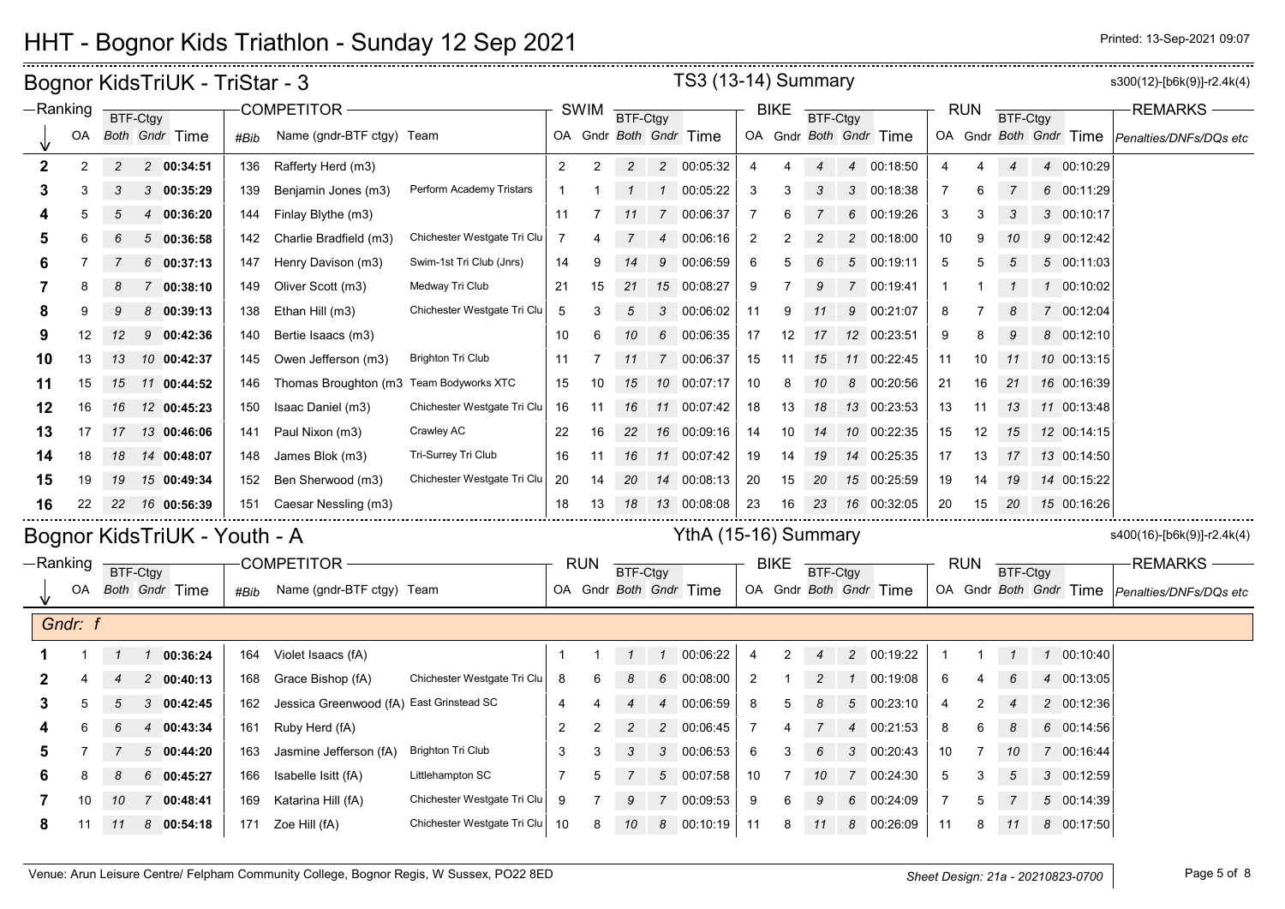### HHT - Bognor Kids Triathlon - Sunday 12 Sep 2021 **Printed: 12 Sep 2021 Printed: 13-Sep-2021 09:07**

|              |         |                | Bognor KidsTriUK - TriStar - 3 |      |                           |                             |                |                |                |                | <b>TS3 (13-14) Summary</b> |                |             |                        |                |                        |            |    |               |                        | s300(12)-[b6k(9)]-r2.4k(4)                    |
|--------------|---------|----------------|--------------------------------|------|---------------------------|-----------------------------|----------------|----------------|----------------|----------------|----------------------------|----------------|-------------|------------------------|----------------|------------------------|------------|----|---------------|------------------------|-----------------------------------------------|
| -Ranking     |         |                | BTF-Ctgy                       |      | <b>COMPETITOR -</b>       |                             |                | <b>SWIM</b>    | BTF-Ctgy       |                |                            |                | <b>BIKE</b> | <b>BTF-Ctgy</b>        |                |                        | <b>RUN</b> |    | BTF-Ctgy      |                        | <b>REMARKS</b>                                |
|              | OA      |                | Both Gndr Time                 | #Bib | Name (gndr-BTF ctgy) Team |                             |                |                |                |                | OA Gndr Both Gndr Time     |                |             |                        |                | OA Gndr Both Gndr Time |            |    |               | OA Gndr Both Gndr Time | Penalties/DNFs/DQs etc                        |
| $\mathbf{2}$ | 2       | $\overline{c}$ | 2 00:34:51                     | 136  | Rafferty Herd (m3)        |                             | $\overline{2}$ | 2              | $\overline{c}$ |                | 2 00:05:32                 |                |             |                        | $\overline{A}$ | 00:18:50               |            |    |               | 4 00:10:29             |                                               |
| 3            | 3       | 3              | 300:35:29                      | 139  | Benjamin Jones (m3)       | Perform Academy Tristars    | -1             |                |                |                | 1 00:05:22                 | 3              | 3           | 3                      | 3              | 00:18:38               | -7         |    |               | 6 00:11:29             |                                               |
|              | 5       | 5              | 4 00:36:20                     | 144  | Finlay Blythe (m3)        |                             | 11             | -7             | 11             | $\overline{7}$ | 00:06:37                   | $\overline{7}$ | 6           |                        | 6              | 00:19:26               | 3          | 3  | 3             | 3 00:10:17             |                                               |
|              | 6       |                | 500:36:58                      | 142  | Charlie Bradfield (m3)    | Chichester Westgate Tri Clu | 7              |                |                | $\overline{4}$ | 00:06:16                   | 2              |             |                        | $\mathcal{P}$  | 00:18:00               | 10         |    |               | 9 00:12:42             |                                               |
|              | 7       |                | 600:37:13                      | 147  | Henry Davison (m3)        | Swim-1st Tri Club (Jnrs)    | 14             |                |                | 9              | 00:06:59                   | 6              |             |                        | 5              | 00:19:11               | 5          |    | 5             | 5 00:11:03             |                                               |
|              | 8       | 8              | 7 00:38:10                     | 149  | Oliver Scott (m3)         | Medway Tri Club             | 21             | 15             | 21             | 15             | 00:08:27                   | 9              |             | 9                      | 7              | 00:19:41               |            |    |               | 1 00:10:02             |                                               |
| 8            | 9       |                | 800:39:13                      | 138  | Ethan Hill (m3)           | Chichester Westgate Tri Clu | 5              |                |                | 3              | 00:06:02                   | 11             | 9           |                        | 9              | 00:21:07               | 8          |    |               | 7 00:12:04             |                                               |
| 9            | 12      | 12             | 90:42:36                       | 140  | Bertie Isaacs (m3)        |                             | 10             | 6              | 10             | 6              | 00:06:35                   | 17             | 12          | 17                     |                | 12 00:23:51            | 9          |    | 9             | 8 00:12:10             |                                               |
| 10           | 13      | 13             | 10 00:42:37                    | 145  | Owen Jefferson (m3)       | <b>Brighton Tri Club</b>    | 11             | -7             |                | $7^{\circ}$    | 00:06:37                   | 15             | -11         | 15                     | 11             | 00:22:45               | 11         | 10 | 11            | 10 00:13:15            |                                               |
| 11           | 15      | 15             | 11 00:44:52                    | 146  | Thomas Broughton (m3      | Team Bodyworks XTC          | 15             | 10             | 15             |                | 10 00:07:17                | 10             | 8           | 10                     | 8              | 00:20:56               | 21         | 16 | 21            | 16 00:16:39            |                                               |
| 12           | 16      | 16             | 12 00:45:23                    | 150  | Isaac Daniel (m3)         | Chichester Westgate Tri Clu | 16             | 11             | 16             | 11             | 00:07:42                   | 18             | 13          | 18                     | 13             | 00:23:53               | 13         | 11 | 13            | 11 00:13:48            |                                               |
| 13           | 17      | 17             | 13 00:46:06                    | 141  | Paul Nixon (m3)           | Crawley AC                  | 22             | 16             | 22             |                | 16 00:09:16                | 14             | 10          | 14                     | 10             | 00:22:35               | 15         | 12 | 15            | 12 00:14:15            |                                               |
| 14           | 18      | 18             | 14 00:48:07                    | 148  | James Blok (m3)           | Tri-Surrey Tri Club         | 16             | -11            | 16             |                | 11 00:07:42                | 19             | 14          | 19                     | 14             | 00:25:35               | 17         | 13 | 17            | 13 00:14:50            |                                               |
| 15           | 19      | 19             | 15 00:49:34                    | 152  | Ben Sherwood (m3)         | Chichester Westgate Tri Clu | 20             | 14             | 20             |                | 14 00:08:13                | 20             | 15          | 20                     | 15             | 00:25:59               | 19         | 14 | 19            | 14 00:15:22            |                                               |
| 16           | 22      | 22             | 16 00:56:39                    | 151  | Caesar Nessling (m3)      |                             | 18             | 13             | 18             |                | 13 00:08:08                | 23             | 16          | 23                     |                | 16 00:32:05            | 20         | 15 | 20            | 15 00:16:26            |                                               |
|              |         |                | Bognor KidsTriUK - Youth - A   |      |                           |                             |                |                |                |                | YthA (15-16) Summary       |                |             |                        |                |                        |            |    |               |                        | s400(16)-[b6k(9)]-r2.4k(4)                    |
| $-Ranking$   |         |                | BTF-Ctgy                       |      | <b>COMPETITOR</b>         |                             |                | <b>RUN</b>     | BTF-Ctgy       |                |                            |                | <b>BIKE</b> | BTF-Ctgy               |                |                        | <b>RUN</b> |    | BTF-Ctgy      |                        | <b>REMARKS</b>                                |
|              | OA      |                | <b>Both Gndr Time</b>          | #Bib | Name (gndr-BTF ctgy) Team |                             |                |                |                |                | OA Gndr Both Gndr Time     |                |             |                        |                | OA Gndr Both Gndr Time |            |    |               |                        | OA Gndr Both Gndr Time Penalties/DNFs/DQs etc |
|              | Gndr: f |                |                                |      |                           |                             |                |                |                |                |                            |                |             |                        |                |                        |            |    |               |                        |                                               |
|              |         | $\mathcal I$   | 100:36:24                      | 164  | Violet Isaacs (fA)        |                             | -1             |                | $\mathcal{I}$  |                | 1 00:06:22                 | $\overline{4}$ | 2           | $\boldsymbol{\Lambda}$ | $2^{\circ}$    | 00:19:22               |            |    | $\mathcal{I}$ | 1 00:10:40             |                                               |
|              |         |                | $\overline{2}$<br>00:40:13     | 168  | Grace Bishop (fA)         | Chichester Westgate Tri Clu | 8              |                |                | 6              | 00:08:00                   | $\overline{2}$ |             |                        |                | 00:19:08               | 6          |    | 6             | 4 00:13:05             |                                               |
| 3            | 5       | 5              | 00:42:45<br>3                  | 162  | Jessica Greenwood (fA)    | East Grinstead SC           | $\overline{4}$ |                |                | $\overline{4}$ | 00:06:59                   | 8              |             |                        | 5              | 00:23:10               | 4          |    |               | 2 00:12:36             |                                               |
|              | 6       | 6              | 4 00:43:34                     | 161  | Ruby Herd (fA)            |                             | $\overline{2}$ | $\overline{2}$ | $\overline{2}$ |                | 2 00:06:45                 | $\overline{7}$ |             |                        | $\overline{4}$ | 00:21:53               | 8          |    | 8             | 6 00:14:56             |                                               |
|              |         |                | 500:44:20                      | 163  | Jasmine Jefferson (fA)    | <b>Brighton Tri Club</b>    | 3              | 3              | 3              | 3              | 00:06:53                   | 6              | З           |                        | 3              | 00:20:43               | 10         |    | 10            | 7 00:16:44             |                                               |
|              | 8       |                | 60:45:27                       | 166  | Isabelle Isitt (fA)       | Littlehampton SC            | 7              |                |                | 5              | 00:07:58                   | 10             |             |                        |                | 00:24:30               | 5          |    |               | 3 00:12:59             |                                               |
|              | 10      | 10             | 7 00:48:41                     | 169  | Katarina Hill (fA)        | Chichester Westgate Tri Clu | 9              |                |                | 7              | 00:09:53                   | 9              |             |                        | 6              | 00:24:09               | 7          |    |               | 5 00:14:39             |                                               |
| 8            | 11      | 11             | 8<br>00:54:18                  | 171  | Zoe Hill (fA)             | Chichester Westgate Tri Clu | 10             | 8              | 10             | 8              | 00:10:19                   | -11            | 8           | 11                     | 8              | 00:26:09               | 11         | 8  | 11            | 8 00:17:50             |                                               |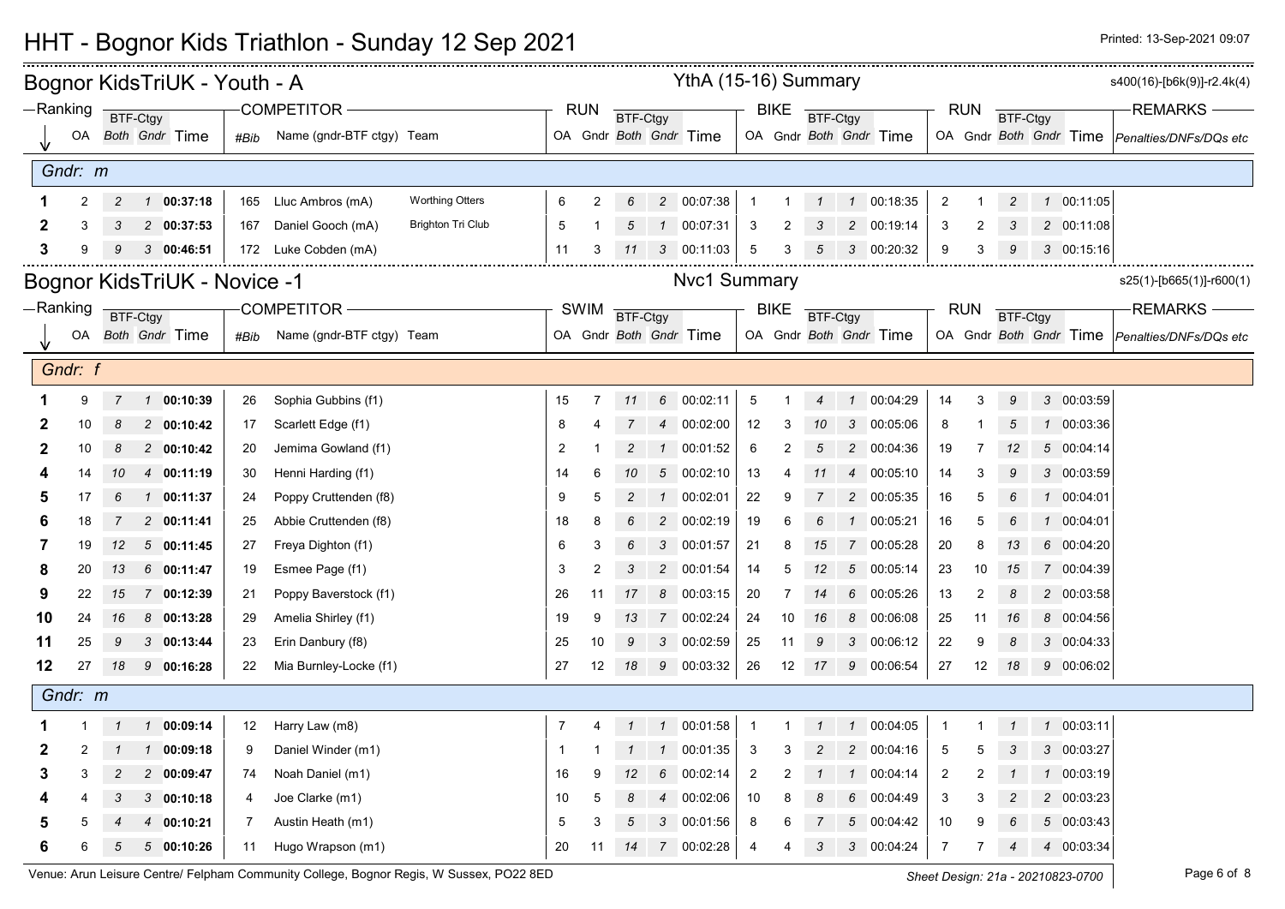## HHT - Bognor Kids Triathlon - Sunday 12 Sep 2021 **Printed: 12 Sep 2021 Printed: 13-Sep-2021 09:07**

|    |            |                | Bognor KidsTriUK - Youth - A |      |                           |                          |                |                |                 |                 | YthA (15-16) Summary   |                |             |                  |                |                        |                |                   |                |            | s400(16)-[b6k(9)]-r2.4k(4)                    |
|----|------------|----------------|------------------------------|------|---------------------------|--------------------------|----------------|----------------|-----------------|-----------------|------------------------|----------------|-------------|------------------|----------------|------------------------|----------------|-------------------|----------------|------------|-----------------------------------------------|
|    | $-Ranking$ | BTF-Ctgy       |                              |      | COMPETITOR-               |                          |                | <b>RUN</b>     | <b>BTF-Ctgy</b> |                 |                        |                | <b>BIKE</b> | <b>BTF-Ctgy</b>  |                |                        |                | <b>RUN</b>        | BTF-Ctgy       |            | <b>REMARKS</b>                                |
|    |            |                | OA Both Gndr Time            | #Bib | Name (gndr-BTF ctgy) Team |                          |                |                |                 |                 | OA Gndr Both Gndr Time |                |             |                  |                | OA Gndr Both Gndr Time |                |                   |                |            | OA Gndr Both Gndr Time Penalties/DNFs/DQs etc |
|    | Gndr: m    |                |                              |      |                           |                          |                |                |                 |                 |                        |                |             |                  |                |                        |                |                   |                |            |                                               |
|    | 2          | $\overline{c}$ | 100:37:18                    | 165  | Lluc Ambros (mA)          | <b>Worthing Otters</b>   | 6              | 2              | 6               |                 | 2 00:07:38             | $\overline{1}$ |             | $\mathbf 1$      |                | 1 00:18:35             | $\overline{c}$ |                   | $\overline{c}$ | 1 00:11:05 |                                               |
|    |            |                | 2 00:37:53                   | 167  | Daniel Gooch (mA)         | <b>Brighton Tri Club</b> | 5              |                |                 |                 | $1$ 00:07:31           | 3              |             |                  | $\overline{c}$ | 00:19:14               | 3              | 2                 |                | 2 00:11:08 |                                               |
| 3  |            | 9              | 300:46:51                    |      | 172 Luke Cobden (mA)      |                          | 11             | 3              | 11              | 3               | 00:11:03               | 5              | 3           |                  | 3              | 00:20:32               | 9              | 3                 | 9              | 3 00:15:16 |                                               |
|    |            |                | Bognor KidsTriUK - Novice -1 |      |                           |                          |                |                |                 |                 | <b>Nvc1 Summary</b>    |                |             |                  |                |                        |                |                   |                |            | $s25(1)$ -[b665(1)]-r600(1)                   |
|    | -Ranking   |                |                              |      | <b>COMPETITOR -</b>       |                          |                | <b>SWIM</b>    | <b>BTF-Ctgy</b> |                 |                        |                | <b>BIKE</b> |                  |                |                        |                | <b>RUN</b>        |                |            | REMARKS-                                      |
|    | OA         | BTF-Ctgy       | Both Gndr Time               | #Bib | Name (gndr-BTF ctgy) Team |                          |                |                |                 |                 | OA Gndr Both Gndr Time |                |             | BTF-Ctgy         |                | OA Gndr Both Gndr Time |                |                   | BTF-Ctgy       |            | OA Gndr Both Gndr Time Penalties/DNFs/DQs etc |
|    |            |                |                              |      |                           |                          |                |                |                 |                 |                        |                |             |                  |                |                        |                |                   |                |            |                                               |
|    | Gndr: f    |                |                              |      |                           |                          |                |                |                 |                 |                        |                |             |                  |                |                        |                |                   |                |            |                                               |
|    | 9          | $\overline{7}$ | 1 00:10:39                   | 26   | Sophia Gubbins (f1)       |                          | 15             | 7              | 11              |                 | 6 00:02:11             | 5              |             | $\boldsymbol{4}$ | $\overline{1}$ | 00:04:29               | 14             | 3                 | 9              | 3 00:03:59 |                                               |
| 2  | 10         | 8              | 2 00:10:42                   | 17   | Scarlett Edge (f1)        |                          | 8              |                |                 | $\overline{4}$  | 00:02:00               | 12             | 3           | 10               | 3              | 00:05:06               | 8              |                   | 5              | 1 00:03:36 |                                               |
| 2  | 10         | 8              | 2 00:10:42                   | 20   | Jemima Gowland (f1)       |                          | $\overline{2}$ |                | $\overline{2}$  |                 | 1 00:01:52             | 6              | 2           | 5                |                | 2 00:04:36             | 19             | 7                 | 12             | 5 00:04:14 |                                               |
|    | 14         | 10             | 4 00:11:19                   | 30   | Henni Harding (f1)        |                          | 14             | 6              | 10              |                 | $5 \quad 00:02:10$     | 13             | 4           |                  | $\overline{4}$ | 00:05:10               | 14             | 3                 | 9              | 3 00:03:59 |                                               |
|    | 17         | 6              | 1 00:11:37                   | 24   | Poppy Cruttenden (f8)     |                          | 9              | 5              | $\overline{c}$  | $\mathcal{I}$   | 00:02:01               | 22             | 9           |                  | $\overline{c}$ | 00:05:35               | 16             | 5                 | 6              | 1 00:04:01 |                                               |
| 6  | 18         |                | 200:11:41                    | 25   | Abbie Cruttenden (f8)     |                          | 18             | 8              |                 |                 | 2 00:02:19             | 19             | 6           |                  |                | 00:05:21               | 16             | 5                 |                | 1 00:04:01 |                                               |
| 7  | 19         | 12             | 500:11:45                    | 27   | Freya Dighton (f1)        |                          | 6              | 3              | 6               | 3               | 00:01:57               | 21             | 8           | 15               | 7              | 00:05:28               | $20\,$         | 8                 | 13             | 6 00:04:20 |                                               |
| 8  | 20         | 13             | 6 00:11:47                   | 19   | Esmee Page (f1)           |                          | 3              | $\overline{2}$ | 3               |                 | 2 00:01:54             | 14             | 5           | 12               | $5\,$          | 00:05:14               | 23             | 10                | 15             | 7 00:04:39 |                                               |
| 9  | 22         | 15             | 7 00:12:39                   | 21   | Poppy Baverstock (f1)     |                          | 26             | 11             | 17              | 8               | 00:03:15               | 20             |             |                  | 6              | 00:05:26               | 13             | 2                 | 8              | 2 00:03:58 |                                               |
| 10 | 24         | 16             | 8 00:13:28                   | 29   | Amelia Shirley (f1)       |                          | 19             | 9              | 13              |                 | 7 00:02:24             | 24             | 10          | 16               | 8              | 00:06:08               | 25             | 11                | 16             | 8 00:04:56 |                                               |
| 11 | 25         | 9              | 300:13:44                    | 23   | Erin Danbury (f8)         |                          | 25             | 10             | 9               |                 | 3 00:02:59             | 25             | 11          | 9                | 3              | 00:06:12               | 22             | 9                 | 8              | 3 00:04:33 |                                               |
| 12 | 27         | 18             | 9 00:16:28                   | 22   | Mia Burnley-Locke (f1)    |                          | 27             | 12             | 18              |                 | 9 00:03:32             | 26             | 12          | 17               |                | 9 00:06:54             | 27             | $12 \overline{ }$ | - 18           | 9 00:06:02 |                                               |
|    | Gndr: m    |                |                              |      |                           |                          |                |                |                 |                 |                        |                |             |                  |                |                        |                |                   |                |            |                                               |
|    |            | $\mathcal I$   | 100:09:14                    | 12   | Harry Law (m8)            |                          | $\overline{7}$ |                | $\mathbf{1}$    |                 | 1 00:01:58             | $\overline{1}$ |             | $\mathbf{1}$     | $\mathcal{I}$  | 00:04:05               | $\mathbf{1}$   | 1                 | $\mathbf{1}$   | 1 00:03:11 |                                               |
| 2  | 2          |                | 100:09:18                    | 9    | Daniel Winder (m1)        |                          | -1             |                |                 | $\overline{1}$  | 00:01:35               | $\mathbf{3}$   | 3           |                  | $\overline{c}$ | 00:04:16               | 5              | 5                 |                | 3 00:03:27 |                                               |
| 3  |            | 2              | 2 00:09:47                   | 74   | Noah Daniel (m1)          |                          | 16             |                | 12              | 6               | 00:02:14               | $\overline{2}$ |             |                  |                | 00:04:14               | 2              | 2                 |                | 1 00:03:19 |                                               |
|    |            | 3              | 300:10:18                    | 4    | Joe Clarke (m1)           |                          | 10             | 5              | 8               |                 | 4 00:02:06             | 10             | 8           | 8                | 6              | 00:04:49               | 3              | 3                 | $\overline{c}$ | 2 00:03:23 |                                               |
|    |            |                | 4 00:10:21                   | 7    | Austin Heath (m1)         |                          | 5              |                | 5               | 3               | 00:01:56               | 8              |             |                  | 5              | 00:04:42               | 10             | 9                 | 6              | 5 00:03:43 |                                               |
| 6  | 6          | 5              | 500:10:26                    | 11   | Hugo Wrapson (m1)         |                          | 20             | 11             | 14              | $7\overline{ }$ | 00:02:28               | 4              |             | 3                | 3              | 00:04:24               | $\overline{7}$ | $\overline{7}$    | $\overline{4}$ | 4 00:03:34 |                                               |

Venue: Arun Leisure Centre/ Felpham Community College, Bognor Regis, W Sussex, PO22 8ED **Sheet Design: 21a - 20210823-0700** Page 6 of 8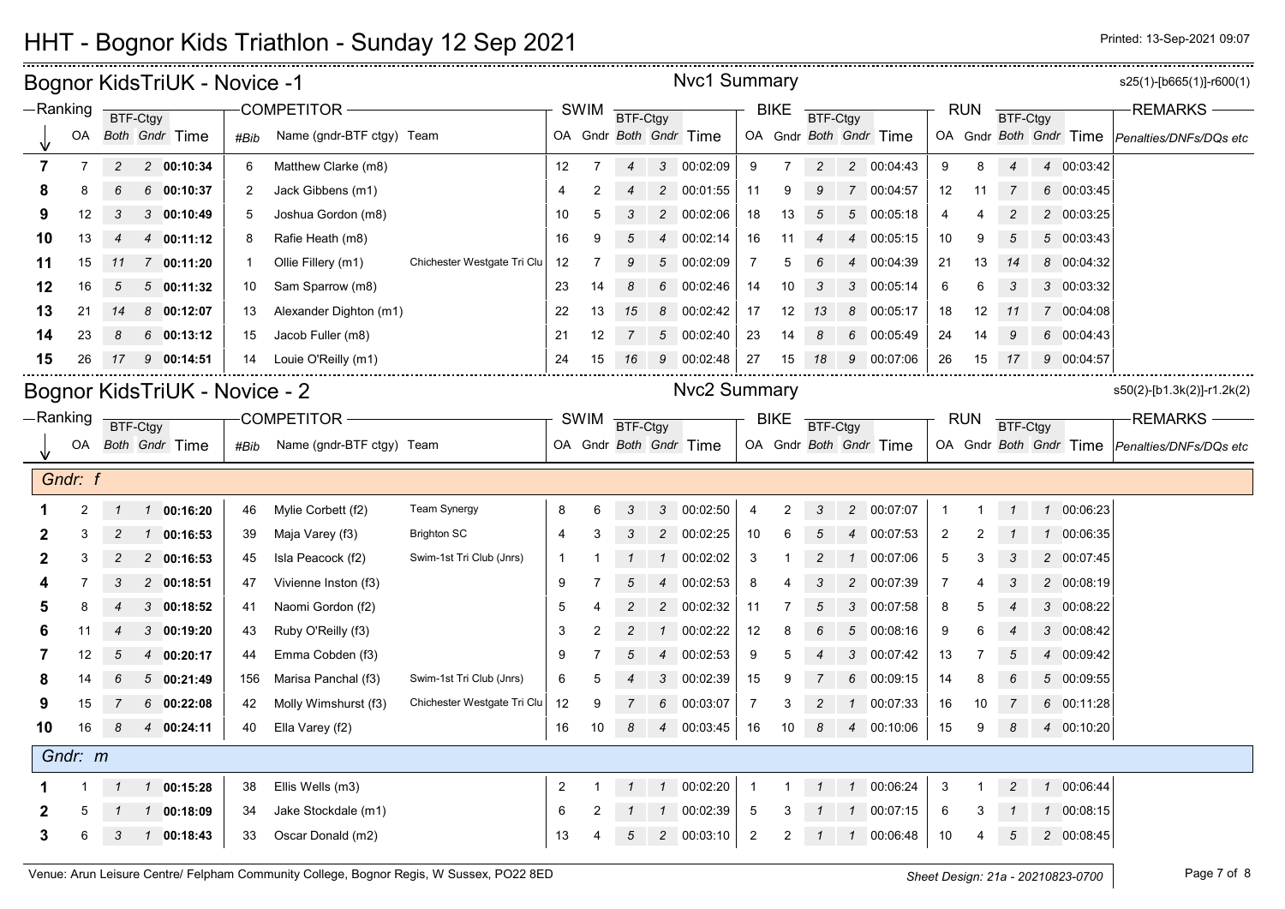|                |                |                | Bognor KidsTriUK - Novice -1  |      |                           |                             |                |                |                |                | <b>Nvc1 Summary</b>    |                |             |                        |                |                        |                |            |                 |               |                        | s25(1)-[b665(1)]-r600(1)                      |
|----------------|----------------|----------------|-------------------------------|------|---------------------------|-----------------------------|----------------|----------------|----------------|----------------|------------------------|----------------|-------------|------------------------|----------------|------------------------|----------------|------------|-----------------|---------------|------------------------|-----------------------------------------------|
|                | -Ranking       |                | BTF-Ctgy                      |      | <b>COMPETITOR</b>         |                             |                | <b>SWIM</b>    | BTF-Ctgy       |                |                        |                | <b>BIKE</b> | <b>BTF-Ctgy</b>        |                |                        |                | <b>RUN</b> | <b>BTF-Ctgy</b> |               |                        | <b>REMARKS</b>                                |
|                | OA             |                | Both Gndr Time                | #Bib | Name (gndr-BTF ctgy) Team |                             |                |                |                |                | OA Gndr Both Gndr Time |                |             |                        |                | OA Gndr Both Gndr Time |                |            |                 |               | OA Gndr Both Gndr Time | Penalties/DNFs/DQs etc                        |
| $\overline{7}$ | $\overline{7}$ | 2              | 2 00:10:34                    | 6    | Matthew Clarke (m8)       |                             | 12             | 7              | $\overline{4}$ |                | 3 00:02:09             | 9              | 7           | $\overline{2}$         |                | 2 00:04:43             | 9              | 8          | $\overline{4}$  |               | 4 00:03:42             |                                               |
| 8              | 8              |                | 600:10:37                     | 2    | Jack Gibbens (m1)         |                             | 4              | $\overline{2}$ |                |                | 2 00:01:55             | 11             | 9           | 9                      |                | 7 00:04:57             | 12             | 11         |                 |               | 6 00:03:45             |                                               |
| 9              | 12             | 3              | 3 00:10:49                    | 5    | Joshua Gordon (m8)        |                             | 10             | 5              | 3              |                | 2 00:02:06             | 18             | 13          | 5                      | 5              | 00:05:18               | 4              | 4          | $\overline{c}$  |               | 2 00:03:25             |                                               |
| 10             | 13             | $\overline{4}$ | 4 00:11:12                    | 8    | Rafie Heath (m8)          |                             | 16             | 9              | 5              | $\overline{4}$ | 00:02:14               | 16             | 11          | $\boldsymbol{4}$       | $\overline{4}$ | 00:05:15               | 10             | 9          | 5               |               | 5 00:03:43             |                                               |
| 11             | 15             | 11             | 7 00:11:20                    |      | Ollie Fillery (m1)        | Chichester Westgate Tri Clu | 12             |                |                |                | 5 00:02:09             | $\overline{7}$ | 5           |                        |                | 00:04:39               | 21             | 13         | 14              |               | 8 00:04:32             |                                               |
| 12             | 16             | 5              | 500:11:32                     | 10   | Sam Sparrow (m8)          |                             | 23             | 14             | 8              | 6              | 00:02:46               | 14             | 10          | 3                      | 3              | 00:05:14               | 6              | 6          | 3               |               | 3 00:03:32             |                                               |
| 13             | 21             | 14             | 800:12:07                     | 13   | Alexander Dighton (m1)    |                             | 22             | 13             | 15             | 8              | 00:02:42               | 17             | 12          | 13                     | 8              | 00:05:17               | 18             | 12         | 11              |               | 7 00:04:08             |                                               |
| 14             | 23             | 8              | 600:13:12                     | 15   | Jacob Fuller (m8)         |                             | 21             | 12             | 7              |                | 5 00:02:40             | 23             | 14          | 8                      | 6              | 00:05:49               | 24             | 14         | 9               |               | 6 00:04:43             |                                               |
| 15             | 26             | 17             | 90:14:51                      | 14   | Louie O'Reilly (m1)       |                             | 24             | 15             | 16             | 9              | 00:02:48               | 27             | 15          | 18                     | 9              | 00:07:06               | 26             | 15         | 17              |               | 9 00:04:57             |                                               |
|                |                |                | Bognor KidsTriUK - Novice - 2 |      |                           |                             |                |                |                |                | <b>Nvc2 Summary</b>    |                |             |                        |                |                        |                |            |                 |               |                        | s50(2)-[b1.3k(2)]-r1.2k(2)                    |
|                | -Ranking       |                | BTF-Ctgy                      |      | <b>COMPETITOR</b>         |                             |                | <b>SWIM</b>    | BTF-Ctgy       |                |                        |                | <b>BIKE</b> | <b>BTF-Ctgy</b>        |                |                        |                | <b>RUN</b> | <b>BTF-Ctgy</b> |               |                        | <b>REMARKS</b>                                |
|                | OA             |                | Both Gndr Time                | #Bib | Name (gndr-BTF ctgy) Team |                             |                |                |                |                | OA Gndr Both Gndr Time |                |             |                        |                | OA Gndr Both Gndr Time |                |            |                 |               |                        | OA Gndr Both Gndr Time Penalties/DNFs/DQs etc |
|                |                |                |                               |      |                           |                             |                |                |                |                |                        |                |             |                        |                |                        |                |            |                 |               |                        |                                               |
|                | Gndr: f        |                |                               |      |                           |                             |                |                |                |                |                        |                |             |                        |                |                        |                |            |                 |               |                        |                                               |
|                | 2              | $\mathcal I$   | 1 00:16:20                    | 46   | Mylie Corbett (f2)        | <b>Team Synergy</b>         | 8              | 6              | 3              |                | 3 00:02:50             | 4              | 2           | 3                      |                | 2 00:07:07             | -1             | -1         | $\mathcal I$    |               | 1 00:06:23             |                                               |
| 2              | 3              | 2              | 00:16:53<br>$\mathcal{I}$     | 39   | Maja Varey (f3)           | <b>Brighton SC</b>          | 4              | 3              |                |                | 2 00:02:25             | 10             | 6           | 5                      | 4              | 00:07:53               | 2              | 2          |                 | $\mathcal{I}$ | 00:06:35               |                                               |
| 2              | 3              | 2              | 2 00:16:53                    | 45   | Isla Peacock (f2)         | Swim-1st Tri Club (Jnrs)    | -1             |                |                | $\mathcal{I}$  | 00:02:02               | 3              |             | 2                      |                | 00:07:06               | 5              | 3          | 3               |               | 2 00:07:45             |                                               |
|                | 7              | 3              | 2 00:18:51                    | 47   | Vivienne Inston (f3)      |                             | 9              |                | 5              |                | 4 00:02:53             | 8              |             | 3                      | 2              | 00:07:39               | $\overline{7}$ | 4          | 3               |               | 2 00:08:19             |                                               |
| 5              | 8              | 4              | 300:18:52                     | 41   | Naomi Gordon (f2)         |                             | 5              | 4              | 2              | $\overline{c}$ | 00:02:32               | 11             | -7          | 5                      | 3              | 00:07:58               | 8              | 5          |                 |               | 3 00:08:22             |                                               |
| 6              | 11             | $\overline{4}$ | 300:19:20                     | 43   | Ruby O'Reilly (f3)        |                             | 3              | $\overline{2}$ |                | $\mathcal{I}$  | 00:02:22               | 12             | 8           |                        | 5              | 00:08:16               | 9              | 6          |                 | 3             | 00:08:42               |                                               |
| 7              | 12             | 5              | 4 00:20:17                    | 44   | Emma Cobden (f3)          |                             | 9              | 7              | 5              | $\overline{4}$ | 00:02:53               | 9              | 5           | $\boldsymbol{\Lambda}$ | 3              | 00:07:42               | 13             | 7          | 5               |               | 4 00:09:42             |                                               |
| 8              | 14             | 6              | 500:21:49                     | 156  | Marisa Panchal (f3)       | Swim-1st Tri Club (Jnrs)    | 6              | 5              |                | 3              | 00:02:39               | 15             | 9           |                        | 6              | 00:09:15               | 14             | 8          | 6               |               | 5 00:09:55             |                                               |
| 9              | 15             | 7              | 60:22:08                      | 42   | Molly Wimshurst (f3)      | Chichester Westgate Tri Clu | 12             | 9              |                | 6              | 00:03:07               | $\overline{7}$ | 3           |                        |                | 00:07:33               | 16             | 10         |                 |               | 6 00:11:28             |                                               |
| 10             | 16             | 8              | 4 00:24:11                    | 40   | Ella Varey (f2)           |                             | 16             | 10             | 8              |                | 4 00:03:45             | $16\,$         | 10          | 8                      | 4              | 00:10:06               | 15             | 9          | 8               |               | 4 00:10:20             |                                               |
|                | Gndr: m        |                |                               |      |                           |                             |                |                |                |                |                        |                |             |                        |                |                        |                |            |                 |               |                        |                                               |
|                |                |                | 1 00:15:28                    | 38   | Ellis Wells (m3)          |                             | $\overline{c}$ |                | $\mathcal{I}$  |                | 1 00:02:20             | $\overline{1}$ |             |                        |                | 1 00:06:24             | 3              |            | $\overline{c}$  |               | 1 00:06:44             |                                               |
| 2              | 5              |                | 00:18:09<br>$\mathcal{I}$     | 34   | Jake Stockdale (m1)       |                             | 6              |                |                | $\mathcal{I}$  | 00:02:39               | 5              | 3           |                        | $\mathbf{1}$   | 00:07:15               | 6              | 3          |                 | $\mathcal I$  | 00:08:15               |                                               |

## HHT - Bognor Kids Triathlon - Sunday 12 Sep 2021 **Printed: 12 Sep 2021 Printed: 13-Sep-2021 09:07**

 $\frac{1}{2}$ 

Venue: Arun Leisure Centre/ Felpham Community College, Bognor Regis, W Sussex, PO22 8ED **Sheet Design: 21a - 20210823-0700** Page 7 of 8